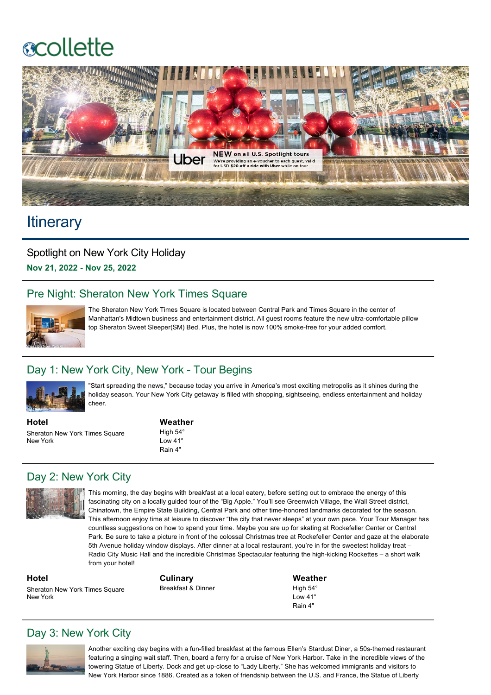# **scollette**



# **Itinerary**

Spotlight on New York City Holiday **Nov 21, 2022 Nov 25, 2022**

# Pre Night: Sheraton New York Times Square



The Sheraton New York Times Square is located between Central Park and Times Square in the center of Manhattan's Midtown business and entertainment district. All guest rooms feature the new ultra-comfortable pillow top Sheraton Sweet Sleeper(SM) Bed. Plus, the hotel is now 100% smoke-free for your added comfort.

## Day 1: New York City, New York - Tour Begins



"Start spreading the news," because today you arrive in America's most exciting metropolis as it shines during the holiday season. Your New York City getaway is filled with shopping, sightseeing, endless entertainment and holiday cheer.

**Hotel** Sheraton New York Times Square New York

**Weather**

High 54° Low 41° Rain 4"

# Day 2: New York City



This morning, the day begins with breakfast at a local eatery, before setting out to embrace the energy of this fascinating city on a locally guided tour of the "Big Apple." You'll see Greenwich Village, the Wall Street district, Chinatown, the Empire State Building, Central Park and other time-honored landmarks decorated for the season. This afternoon enjoy time at leisure to discover "the city that never sleeps" at your own pace. Your Tour Manager has countless suggestions on how to spend your time. Maybe you are up for skating at Rockefeller Center or Central Park. Be sure to take a picture in front of the colossal Christmas tree at Rockefeller Center and gaze at the elaborate 5th Avenue holiday window displays. After dinner at a local restaurant, you're in for the sweetest holiday treat – Radio City Music Hall and the incredible Christmas Spectacular featuring the high-kicking Rockettes – a short walk from your hotel!

**Hotel**

New York

**Culinary** Breakfast & Dinner

**Weather** High 54° Low 41° Rain 4"

# Day 3: New York City

Sheraton New York Times Square



Another exciting day begins with a fun-filled breakfast at the famous Ellen's Stardust Diner, a 50s-themed restaurant featuring a singing wait staff. Then, board a ferry for a cruise of New York Harbor. Take in the incredible views of the towering Statue of Liberty. Dock and get up-close to "Lady Liberty." She has welcomed immigrants and visitors to New York Harbor since 1886. Created as a token of friendship between the U.S. and France, the Statue of Liberty